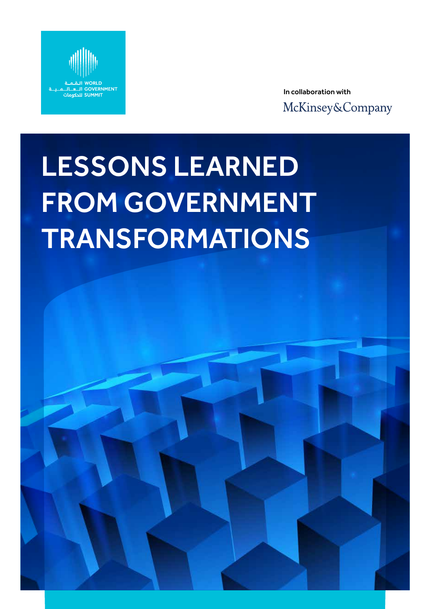

In collaboration with McKinsey&Company

# LESSONS LEARNED FROM GOVERNMENT TRANSFORMATIONS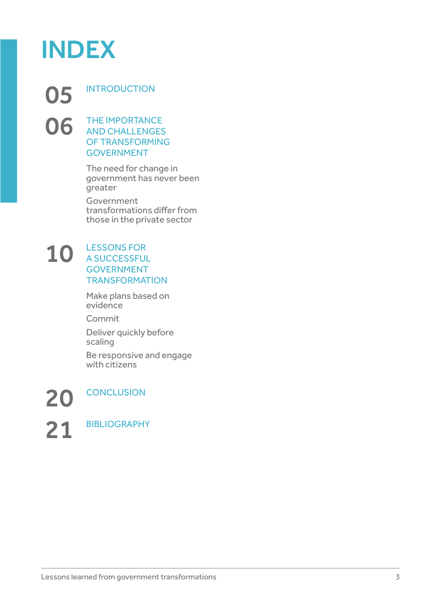

05 INTRODUCTION **06** THE IMPORTANCE AND CHALLENGES OF TRANSFORMING

GOVERNMENT

The need for change in government has never been greater

Government transformations differ from those in the private sector

### 10 LESSONS FOR A SUCCESSFUL GOVERNMENT **TRANSFORMATION**

Make plans based on evidence

Commit

Deliver quickly before scaling

Be responsive and engage with citizens

21 BIBLIOGRAPHY

20 CONCLUSION

Lessons learned from government transformations 3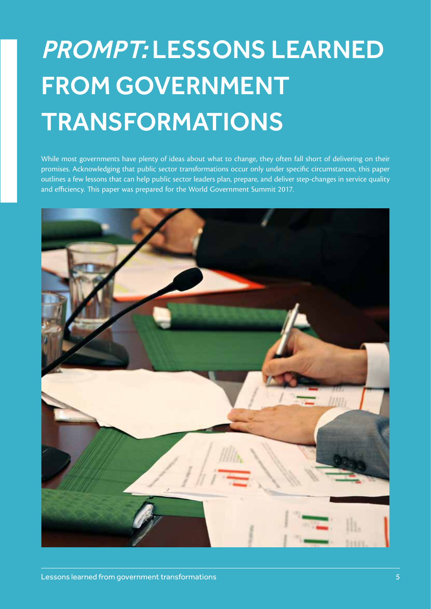## PROMPT: LESSONS LEARNED FROM GOVERNMENT TRANSFORMATIONS

While most governments have plenty of ideas about what to change, they often fall short of delivering on their promises. Acknowledging that public sector transformations occur only under specific circumstances, this paper outlines a few lessons that can help public sector leaders plan, prepare, and deliver step-changes in service quality and efficiency. This paper was prepared for the World Government Summit 2017.

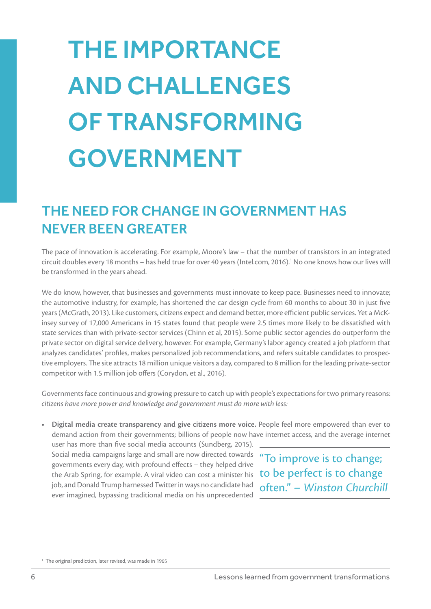## THE IMPORTANCE AND CHALLENGES OF TRANSFORMING GOVERNMENT

### THE NEED FOR CHANGE IN GOVERNMENT HAS NEVER BEEN GREATER

The pace of innovation is accelerating. For example, Moore's law – that the number of transistors in an integrated circuit doubles every 18 months - has held true for over 40 years (Intel.com, 2016).<sup>1</sup> No one knows how our lives will be transformed in the years ahead.

We do know, however, that businesses and governments must innovate to keep pace. Businesses need to innovate; the automotive industry, for example, has shortened the car design cycle from 60 months to about 30 in just five years (McGrath, 2013). Like customers, citizens expect and demand better, more efficient public services. Yet a McKinsey survey of 17,000 Americans in 15 states found that people were 2.5 times more likely to be dissatisfied with state services than with private-sector services (Chinn et al, 2015). Some public sector agencies do outperform the private sector on digital service delivery, however. For example, Germany's labor agency created a job platform that analyzes candidates' profiles, makes personalized job recommendations, and refers suitable candidates to prospective employers. The site attracts 18 million unique visitors a day, compared to 8 million for the leading private-sector competitor with 1.5 million job offers (Corydon, et al., 2016).

Governments face continuous and growing pressure to catch up with people's expectations for two primary reasons: *citizens have more power and knowledge and government must do more with less:*

**• Digital media create transparency and give citizens more voice.** People feel more empowered than ever to demand action from their governments; billions of people now have internet access, and the average internet

user has more than five social media accounts (Sundberg, 2015). Social media campaigns large and small are now directed towards "To improve is to change; governments every day, with profound effects – they helped drive the Arab Spring, for example. A viral video can cost a minister his job, and Donald Trump harnessed Twitter in ways no candidate had ever imagined, bypassing traditional media on his unprecedented

to be perfect is to change often." – *Winston Churchill* 

<sup>&</sup>lt;sup>1</sup> The original prediction, later revised, was made in 1965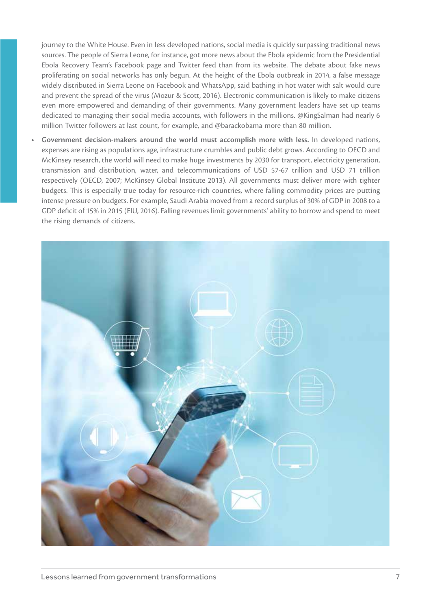journey to the White House. Even in less developed nations, social media is quickly surpassing traditional news sources. The people of Sierra Leone, for instance, got more news about the Ebola epidemic from the Presidential Ebola Recovery Team's Facebook page and Twitter feed than from its website. The debate about fake news proliferating on social networks has only begun. At the height of the Ebola outbreak in 2014, a false message widely distributed in Sierra Leone on Facebook and WhatsApp, said bathing in hot water with salt would cure and prevent the spread of the virus (Mozur & Scott, 2016). Electronic communication is likely to make citizens even more empowered and demanding of their governments. Many government leaders have set up teams dedicated to managing their social media accounts, with followers in the millions. @KingSalman had nearly 6 million Twitter followers at last count, for example, and @barackobama more than 80 million.

**• Government decision-makers around the world must accomplish more with less.** In developed nations, expenses are rising as populations age, infrastructure crumbles and public debt grows. According to OECD and McKinsey research, the world will need to make huge investments by 2030 for transport, electricity generation, transmission and distribution, water, and telecommunications of USD 57-67 trillion and USD 71 trillion respectively (OECD, 2007; McKinsey Global Institute 2013). All governments must deliver more with tighter budgets. This is especially true today for resource-rich countries, where falling commodity prices are putting intense pressure on budgets. For example, Saudi Arabia moved from a record surplus of 30% of GDP in 2008 to a GDP deficit of 15% in 2015 (EIU, 2016). Falling revenues limit governments' ability to borrow and spend to meet the rising demands of citizens.

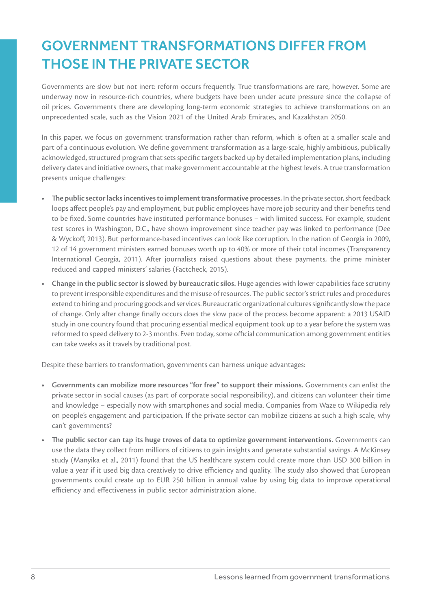### GOVERNMENT TRANSFORMATIONS DIFFER FROM THOSE IN THE PRIVATE SECTOR

Governments are slow but not inert: reform occurs frequently. True transformations are rare, however. Some are underway now in resource-rich countries, where budgets have been under acute pressure since the collapse of oil prices. Governments there are developing long-term economic strategies to achieve transformations on an unprecedented scale, such as the Vision 2021 of the United Arab Emirates, and Kazakhstan 2050.

In this paper, we focus on government transformation rather than reform, which is often at a smaller scale and part of a continuous evolution. We define government transformation as a large-scale, highly ambitious, publically acknowledged, structured program that sets specific targets backed up by detailed implementation plans, including delivery dates and initiative owners, that make government accountable at the highest levels. A true transformation presents unique challenges:

- **• The public sector lacks incentives to implement transformative processes.** In the private sector, short feedback loops affect people's pay and employment, but public employees have more job security and their benefits tend to be fixed. Some countries have instituted performance bonuses – with limited success. For example, student test scores in Washington, D.C., have shown improvement since teacher pay was linked to performance (Dee & Wyckoff, 2013). But performance-based incentives can look like corruption. In the nation of Georgia in 2009, 12 of 14 government ministers earned bonuses worth up to 40% or more of their total incomes (Transparency International Georgia, 2011). After journalists raised questions about these payments, the prime minister reduced and capped ministers' salaries (Factcheck, 2015).
- **• Change in the public sector is slowed by bureaucratic silos.** Huge agencies with lower capabilities face scrutiny to prevent irresponsible expenditures and the misuse of resources. The public sector's strict rules and procedures extend to hiring and procuring goods and services. Bureaucratic organizational cultures significantly slow the pace of change. Only after change finally occurs does the slow pace of the process become apparent: a 2013 USAID study in one country found that procuring essential medical equipment took up to a year before the system was reformed to speed delivery to 2-3 months. Even today, some official communication among government entities can take weeks as it travels by traditional post.

Despite these barriers to transformation, governments can harness unique advantages:

- **• Governments can mobilize more resources "for free" to support their missions.** Governments can enlist the private sector in social causes (as part of corporate social responsibility), and citizens can volunteer their time and knowledge – especially now with smartphones and social media. Companies from Waze to Wikipedia rely on people's engagement and participation. If the private sector can mobilize citizens at such a high scale, why can't governments?
- **• The public sector can tap its huge troves of data to optimize government interventions.** Governments can use the data they collect from millions of citizens to gain insights and generate substantial savings. A McKinsey study (Manyika et al., 2011) found that the US healthcare system could create more than USD 300 billion in value a year if it used big data creatively to drive efficiency and quality. The study also showed that European governments could create up to EUR 250 billion in annual value by using big data to improve operational efficiency and effectiveness in public sector administration alone.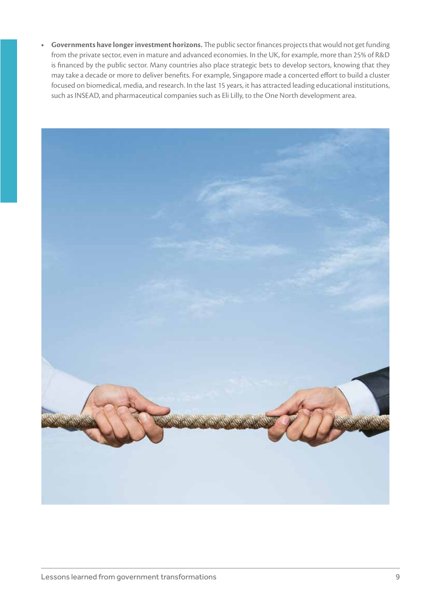**• Governments have longer investment horizons.** The public sector finances projects that would not get funding from the private sector, even in mature and advanced economies. In the UK, for example, more than 25% of R&D is financed by the public sector. Many countries also place strategic bets to develop sectors, knowing that they may take a decade or more to deliver benefits. For example, Singapore made a concerted effort to build a cluster focused on biomedical, media, and research. In the last 15 years, it has attracted leading educational institutions, such as INSEAD, and pharmaceutical companies such as Eli Lilly, to the One North development area.

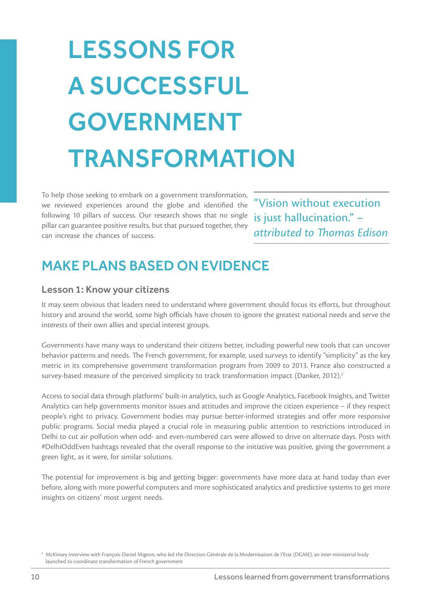## LESSONS FOR A SUCCESSFUL GOVERNMENT TRANSFORMATION

To help those seeking to embark on a government transformation, we reviewed experiences around the globe and identified the following 10 pillars of success. Our research shows that no single pillar can guarantee positive results, but that pursued together, they can increase the chances of success.

"Vision without execution is just hallucination." – *attributed to Thomas Edison*

### MAKE PLANS BASED ON EVIDENCE

### Lesson 1: Know your citizens

It may seem obvious that leaders need to understand where government should focus its efforts, but throughout history and around the world, some high officials have chosen to ignore the greatest national needs and serve the interests of their own allies and special interest groups.

Governments have many ways to understand their citizens better, including powerful new tools that can uncover behavior patterns and needs. The French government, for example, used surveys to identify "simplicity" as the key metric in its comprehensive government transformation program from 2009 to 2013. France also constructed a survey-based measure of the perceived simplicity to track transformation impact (Danker, 2012).<sup>2</sup>

Access to social data through platforms' built-in analytics, such as Google Analytics, Facebook Insights, and Twitter Analytics can help governments monitor issues and attitudes and improve the citizen experience – if they respect people's right to privacy. Government bodies may pursue better-informed strategies and offer more responsive public programs. Social media played a crucial role in measuring public attention to restrictions introduced in Delhi to cut air pollution when odd- and even-numbered cars were allowed to drive on alternate days. Posts with #DelhiOddEven hashtags revealed that the overall response to the initiative was positive, giving the government a green light, as it were, for similar solutions.

The potential for improvement is big and getting bigger: governments have more data at hand today than ever before, along with more powerful computers and more sophisticated analytics and predictive systems to get more insights on citizens' most urgent needs.

<sup>&</sup>lt;sup>2</sup> McKinsey interview with François-Daniel Migeon, who led the Direction Générale de la Modernisation de l'Etat (DGME), an inter-ministerial body launched to coordinate transformation of French government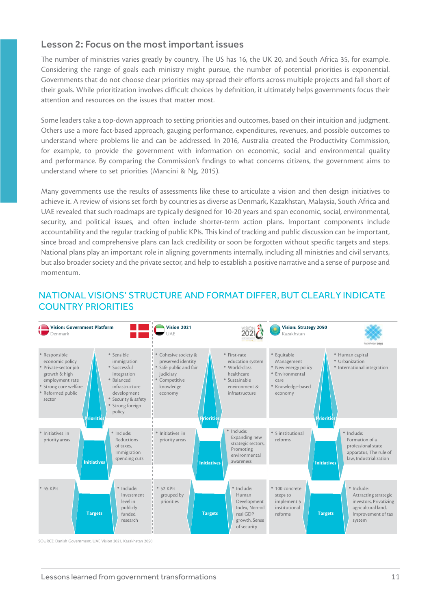### Lesson 2: Focus on the most important issues

The number of ministries varies greatly by country. The US has 16, the UK 20, and South Africa 35, for example. Considering the range of goals each ministry might pursue, the number of potential priorities is exponential. Governments that do not choose clear priorities may spread their efforts across multiple projects and fall short of their goals. While prioritization involves difficult choices by definition, it ultimately helps governments focus their attention and resources on the issues that matter most.

Some leaders take a top-down approach to setting priorities and outcomes, based on their intuition and judgment. Others use a more fact-based approach, gauging performance, expenditures, revenues, and possible outcomes to understand where problems lie and can be addressed. In 2016, Australia created the Productivity Commission, for example, to provide the government with information on economic, social and environmental quality and performance. By comparing the Commission's findings to what concerns citizens, the government aims to understand where to set priorities (Mancini & Ng, 2015).

Many governments use the results of assessments like these to articulate a vision and then design initiatives to achieve it. A review of visions set forth by countries as diverse as Denmark, Kazakhstan, Malaysia, South Africa and UAE revealed that such roadmaps are typically designed for 10-20 years and span economic, social, environmental, security, and political issues, and often include shorter-term action plans. Important components include accountability and the regular tracking of public KPIs. This kind of tracking and public discussion can be important, since broad and comprehensive plans can lack credibility or soon be forgotten without specific targets and steps. National plans play an important role in aligning governments internally, including all ministries and civil servants, but also broader society and the private sector, and help to establish a positive narrative and a sense of purpose and momentum.

### NATIONAL VISIONS' STRUCTURE AND FORMAT DIFFER, BUT CLEARLY INDICATE COUNTRY PRIORITIES



SOURCE: Danish Government, UAE Vision 2021, Kazakhstan 2050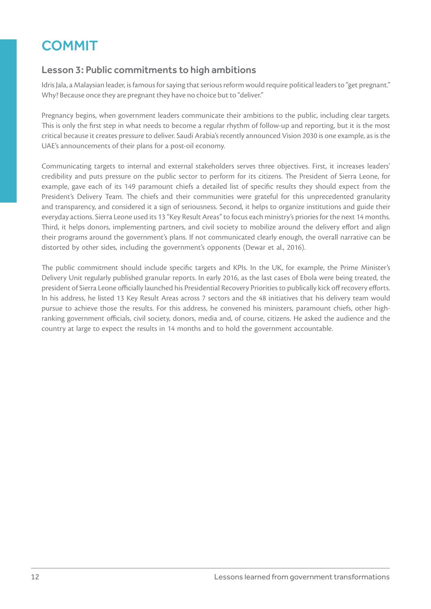### **COMMIT**

### Lesson 3: Public commitments to high ambitions

Idris Jala, a Malaysian leader, is famous for saying that serious reform would require political leaders to "get pregnant." Why? Because once they are pregnant they have no choice but to "deliver."

Pregnancy begins, when government leaders communicate their ambitions to the public, including clear targets. This is only the first step in what needs to become a regular rhythm of follow-up and reporting, but it is the most critical because it creates pressure to deliver. Saudi Arabia's recently announced Vision 2030 is one example, as is the UAE's announcements of their plans for a post-oil economy.

Communicating targets to internal and external stakeholders serves three objectives. First, it increases leaders' credibility and puts pressure on the public sector to perform for its citizens. The President of Sierra Leone, for example, gave each of its 149 paramount chiefs a detailed list of specific results they should expect from the President's Delivery Team. The chiefs and their communities were grateful for this unprecedented granularity and transparency, and considered it a sign of seriousness. Second, it helps to organize institutions and guide their everyday actions. Sierra Leone used its 13 "Key Result Areas" to focus each ministry's priories for the next 14 months. Third, it helps donors, implementing partners, and civil society to mobilize around the delivery effort and align their programs around the government's plans. If not communicated clearly enough, the overall narrative can be distorted by other sides, including the government's opponents (Dewar et al., 2016).

The public commitment should include specific targets and KPIs. In the UK, for example, the Prime Minister's Delivery Unit regularly published granular reports. In early 2016, as the last cases of Ebola were being treated, the president of Sierra Leone officially launched his Presidential Recovery Priorities to publically kick off recovery efforts. In his address, he listed 13 Key Result Areas across 7 sectors and the 48 initiatives that his delivery team would pursue to achieve those the results. For this address, he convened his ministers, paramount chiefs, other highranking government officials, civil society, donors, media and, of course, citizens. He asked the audience and the country at large to expect the results in 14 months and to hold the government accountable.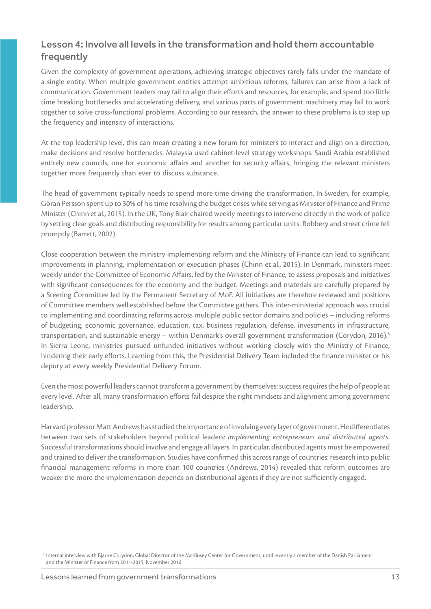### Lesson 4: Involve all levels in the transformation and hold them accountable frequently

Given the complexity of government operations, achieving strategic objectives rarely falls under the mandate of a single entity. When multiple government entities attempt ambitious reforms, failures can arise from a lack of communication. Government leaders may fail to align their efforts and resources, for example, and spend too little time breaking bottlenecks and accelerating delivery, and various parts of government machinery may fail to work together to solve cross-functional problems. According to our research, the answer to these problems is to step up the frequency and intensity of interactions.

At the top leadership level, this can mean creating a new forum for ministers to interact and align on a direction, make decisions and resolve bottlenecks. Malaysia used cabinet-level strategy workshops. Saudi Arabia established entirely new councils, one for economic affairs and another for security affairs, bringing the relevant ministers together more frequently than ever to discuss substance.

The head of government typically needs to spend more time driving the transformation. In Sweden, for example, Göran Persson spent up to 30% of his time resolving the budget crises while serving as Minister of Finance and Prime Minister (Chinn et al., 2015). In the UK, Tony Blair chaired weekly meetings to intervene directly in the work of police by setting clear goals and distributing responsibility for results among particular units. Robbery and street crime fell promptly (Barrett, 2002).

Close cooperation between the ministry implementing reform and the Ministry of Finance can lead to significant improvements in planning, implementation or execution phases (Chinn et al., 2015). In Denmark, ministers meet weekly under the Committee of Economic Affairs, led by the Minister of Finance, to assess proposals and initiatives with significant consequences for the economy and the budget. Meetings and materials are carefully prepared by a Steering Committee led by the Permanent Secretary of MoF. All initiatives are therefore reviewed and positions of Committee members well established before the Committee gathers. This inter-ministerial approach was crucial to implementing and coordinating reforms across multiple public sector domains and policies – including reforms of budgeting, economic governance, education, tax, business regulation, defense, investments in infrastructure, transportation, and sustainable energy – within Denmark's overall government transformation (Corydon, 2016).<sup>3</sup> In Sierra Leone, ministries pursued unfunded initiatives without working closely with the Ministry of Finance, hindering their early efforts. Learning from this, the Presidential Delivery Team included the finance minister or his deputy at every weekly Presidential Delivery Forum.

Even the most powerful leaders cannot transform a government by themselves: success requires the help of people at every level. After all, many transformation efforts fail despite the right mindsets and alignment among government leadership.

Harvard professor Matt Andrews has studied the importance of involving every layer of government. He differentiates between two sets of stakeholders beyond political leaders: *implementing entrepreneurs and distributed agents.* Successful transformations should involve and engage all layers. In particular, distributed agents must be empowered and trained to deliver the transformation. Studies have confirmed this across range of countries: research into public financial management reforms in more than 100 countries (Andrews, 2014) revealed that reform outcomes are weaker the more the implementation depends on distributional agents if they are not sufficiently engaged.

<sup>&</sup>lt;sup>3</sup> Internal interview with Bjarne Corydon, Global Director of the McKinsey Center for Government, until recently a member of the Danish Parliament and the Minister of Finance from 2011-2015, November 2016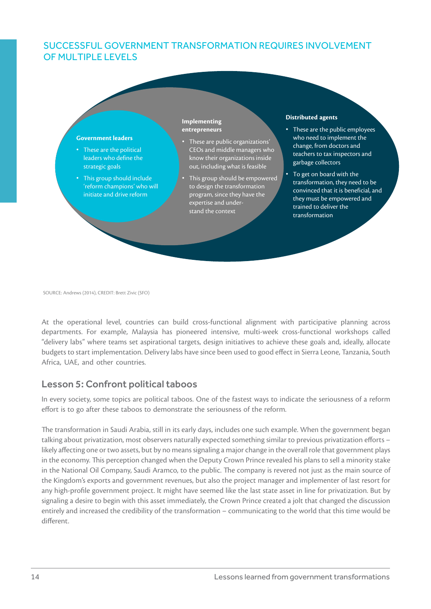### SUCCESSFUL GOVERNMENT TRANSFORMATION REQUIRES INVOLVEMENT OF MULTIPLE LEVELS



SOURCE: Andrews (2014), CREDIT: Brett Zivic (SFO)

At the operational level, countries can build cross-functional alignment with participative planning across departments. For example, Malaysia has pioneered intensive, multi-week cross-functional workshops called "delivery labs" where teams set aspirational targets, design initiatives to achieve these goals and, ideally, allocate budgets to start implementation. Delivery labs have since been used to good effect in Sierra Leone, Tanzania, South Africa, UAE, and other countries.

### Lesson 5: Confront political taboos

In every society, some topics are political taboos. One of the fastest ways to indicate the seriousness of a reform effort is to go after these taboos to demonstrate the seriousness of the reform.

The transformation in Saudi Arabia, still in its early days, includes one such example. When the government began talking about privatization, most observers naturally expected something similar to previous privatization efforts – likely affecting one or two assets, but by no means signaling a major change in the overall role that government plays in the economy. This perception changed when the Deputy Crown Prince revealed his plans to sell a minority stake in the National Oil Company, Saudi Aramco, to the public. The company is revered not just as the main source of the Kingdom's exports and government revenues, but also the project manager and implementer of last resort for any high-profile government project. It might have seemed like the last state asset in line for privatization. But by signaling a desire to begin with this asset immediately, the Crown Prince created a jolt that changed the discussion entirely and increased the credibility of the transformation – communicating to the world that this time would be different.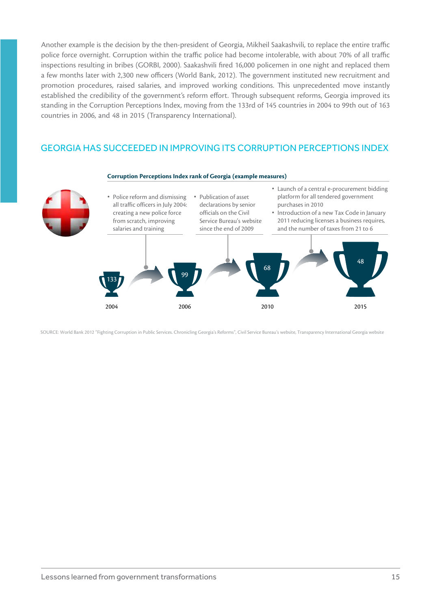Another example is the decision by the then-president of Georgia, Mikheil Saakashvili, to replace the entire traffic police force overnight. Corruption within the traffic police had become intolerable, with about 70% of all traffic inspections resulting in bribes (GORBI, 2000). Saakashvili fired 16,000 policemen in one night and replaced them a few months later with 2,300 new officers (World Bank, 2012). The government instituted new recruitment and promotion procedures, raised salaries, and improved working conditions. This unprecedented move instantly established the credibility of the government's reform effort. Through subsequent reforms, Georgia improved its standing in the Corruption Perceptions Index, moving from the 133rd of 145 countries in 2004 to 99th out of 163 countries in 2006, and 48 in 2015 (Transparency International).

### GEORGIA HAS SUCCEEDED IN IMPROVING ITS CORRUPTION PERCEPTIONS INDEX



SOURCE: World Bank 2012 "Fighting Corruption in Public Services. Chronicling Georgia's Reforms", Civil Service Bureau's website, Transparency International Georgia website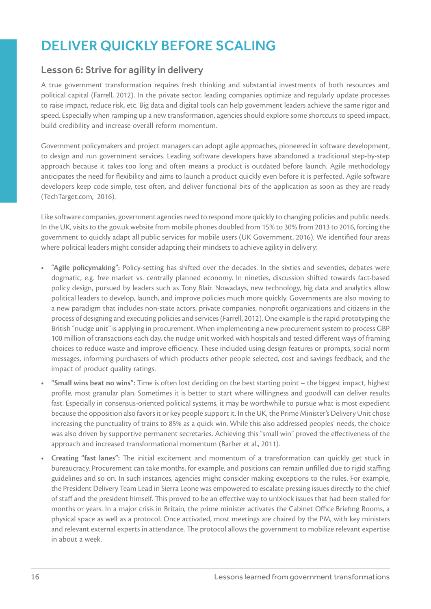### DELIVER QUICKLY BEFORE SCALING

### Lesson 6: Strive for agility in delivery

A true government transformation requires fresh thinking and substantial investments of both resources and political capital (Farrell, 2012). In the private sector, leading companies optimize and regularly update processes to raise impact, reduce risk, etc. Big data and digital tools can help government leaders achieve the same rigor and speed. Especially when ramping up a new transformation, agencies should explore some shortcuts to speed impact, build credibility and increase overall reform momentum.

Government policymakers and project managers can adopt agile approaches, pioneered in software development, to design and run government services. Leading software developers have abandoned a traditional step-by-step approach because it takes too long and often means a product is outdated before launch. Agile methodology anticipates the need for flexibility and aims to launch a product quickly even before it is perfected. Agile software developers keep code simple, test often, and deliver functional bits of the application as soon as they are ready (TechTarget.com, 2016).

Like software companies, government agencies need to respond more quickly to changing policies and public needs. In the UK, visits to the gov.uk website from mobile phones doubled from 15% to 30% from 2013 to 2016, forcing the government to quickly adapt all public services for mobile users (UK Government, 2016). We identified four areas where political leaders might consider adapting their mindsets to achieve agility in delivery:

- **• "Agile policymaking":** Policy-setting has shifted over the decades. In the sixties and seventies, debates were dogmatic, e.g. free market vs. centrally planned economy. In nineties, discussion shifted towards fact-based policy design, pursued by leaders such as Tony Blair. Nowadays, new technology, big data and analytics allow political leaders to develop, launch, and improve policies much more quickly. Governments are also moving to a new paradigm that includes non-state actors, private companies, nonprofit organizations and citizens in the process of designing and executing policies and services (Farrell, 2012). One example is the rapid prototyping the British "nudge unit" is applying in procurement. When implementing a new procurement system to process GBP 100 million of transactions each day, the nudge unit worked with hospitals and tested different ways of framing choices to reduce waste and improve efficiency. These included using design features or prompts, social norm messages, informing purchasers of which products other people selected, cost and savings feedback, and the impact of product quality ratings.
- **• "Small wins beat no wins":** Time is often lost deciding on the best starting point the biggest impact, highest profile, most granular plan. Sometimes it is better to start where willingness and goodwill can deliver results fast. Especially in consensus-oriented political systems, it may be worthwhile to pursue what is most expedient because the opposition also favors it or key people support it. In the UK, the Prime Minister's Delivery Unit chose increasing the punctuality of trains to 85% as a quick win. While this also addressed peoples' needs, the choice was also driven by supportive permanent secretaries. Achieving this "small win" proved the effectiveness of the approach and increased transformational momentum (Barber et al., 2011).
- **• Creating "fast lanes":** The initial excitement and momentum of a transformation can quickly get stuck in bureaucracy. Procurement can take months, for example, and positions can remain unfilled due to rigid staffing guidelines and so on. In such instances, agencies might consider making exceptions to the rules. For example, the President Delivery Team Lead in Sierra Leone was empowered to escalate pressing issues directly to the chief of staff and the president himself. This proved to be an effective way to unblock issues that had been stalled for months or years. In a major crisis in Britain, the prime minister activates the Cabinet Office Briefing Rooms, a physical space as well as a protocol. Once activated, most meetings are chaired by the PM, with key ministers and relevant external experts in attendance. The protocol allows the government to mobilize relevant expertise in about a week.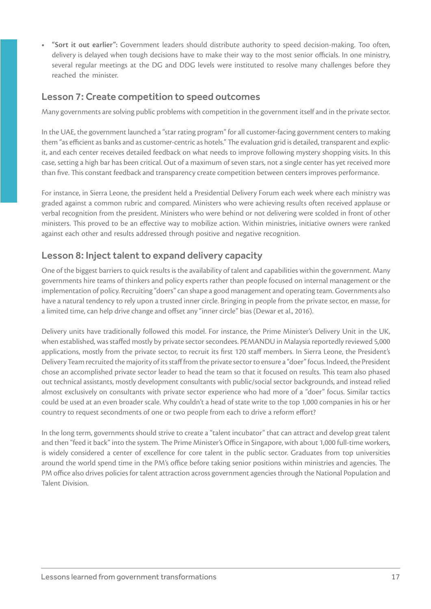**• "Sort it out earlier":** Government leaders should distribute authority to speed decision-making. Too often, delivery is delayed when tough decisions have to make their way to the most senior officials. In one ministry, several regular meetings at the DG and DDG levels were instituted to resolve many challenges before they reached the minister.

### Lesson 7: Create competition to speed outcomes

Many governments are solving public problems with competition in the government itself and in the private sector.

In the UAE, the government launched a "star rating program" for all customer-facing government centers to making them "as efficient as banks and as customer-centric as hotels." The evaluation grid is detailed, transparent and explicit, and each center receives detailed feedback on what needs to improve following mystery shopping visits. In this case, setting a high bar has been critical. Out of a maximum of seven stars, not a single center has yet received more than five. This constant feedback and transparency create competition between centers improves performance.

For instance, in Sierra Leone, the president held a Presidential Delivery Forum each week where each ministry was graded against a common rubric and compared. Ministers who were achieving results often received applause or verbal recognition from the president. Ministers who were behind or not delivering were scolded in front of other ministers. This proved to be an effective way to mobilize action. Within ministries, initiative owners were ranked against each other and results addressed through positive and negative recognition.

### Lesson 8: Inject talent to expand delivery capacity

One of the biggest barriers to quick results is the availability of talent and capabilities within the government. Many governments hire teams of thinkers and policy experts rather than people focused on internal management or the implementation of policy. Recruiting "doers" can shape a good management and operating team. Governments also have a natural tendency to rely upon a trusted inner circle. Bringing in people from the private sector, en masse, for a limited time, can help drive change and offset any "inner circle" bias (Dewar et al., 2016).

Delivery units have traditionally followed this model. For instance, the Prime Minister's Delivery Unit in the UK, when established, was staffed mostly by private sector secondees. PEMANDU in Malaysia reportedly reviewed 5,000 applications, mostly from the private sector, to recruit its first 120 staff members. In Sierra Leone, the President's Delivery Team recruited the majority of its staff from the private sector to ensure a "doer" focus. Indeed, the President chose an accomplished private sector leader to head the team so that it focused on results. This team also phased out technical assistants, mostly development consultants with public/social sector backgrounds, and instead relied almost exclusively on consultants with private sector experience who had more of a "doer" focus. Similar tactics could be used at an even broader scale. Why couldn't a head of state write to the top 1,000 companies in his or her country to request secondments of one or two people from each to drive a reform effort?

In the long term, governments should strive to create a "talent incubator" that can attract and develop great talent and then "feed it back" into the system. The Prime Minister's Office in Singapore, with about 1,000 full-time workers, is widely considered a center of excellence for core talent in the public sector. Graduates from top universities around the world spend time in the PM's office before taking senior positions within ministries and agencies. The PM office also drives policies for talent attraction across government agencies through the National Population and Talent Division.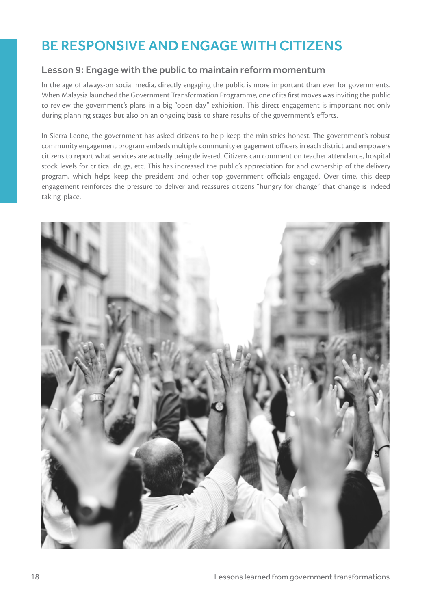### BE RESPONSIVE AND ENGAGE WITH CITIZENS

### Lesson 9: Engage with the public to maintain reform momentum

In the age of always-on social media, directly engaging the public is more important than ever for governments. When Malaysia launched the Government Transformation Programme, one of its first moves was inviting the public to review the government's plans in a big "open day" exhibition. This direct engagement is important not only during planning stages but also on an ongoing basis to share results of the government's efforts.

In Sierra Leone, the government has asked citizens to help keep the ministries honest. The government's robust community engagement program embeds multiple community engagement officers in each district and empowers citizens to report what services are actually being delivered. Citizens can comment on teacher attendance, hospital stock levels for critical drugs, etc. This has increased the public's appreciation for and ownership of the delivery program, which helps keep the president and other top government officials engaged. Over time, this deep engagement reinforces the pressure to deliver and reassures citizens "hungry for change" that change is indeed taking place.

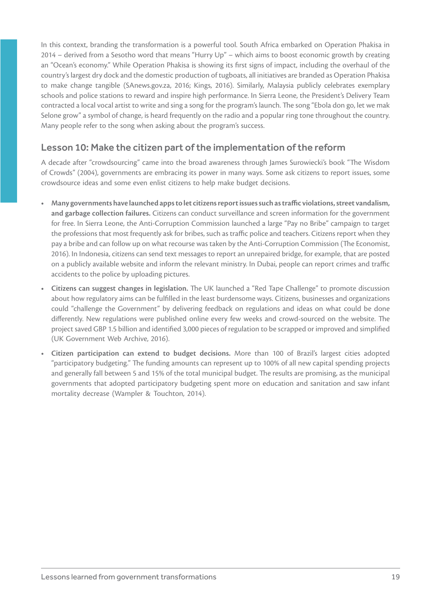In this context, branding the transformation is a powerful tool. South Africa embarked on Operation Phakisa in 2014 – derived from a Sesotho word that means "Hurry Up" – which aims to boost economic growth by creating an "Ocean's economy." While Operation Phakisa is showing its first signs of impact, including the overhaul of the country's largest dry dock and the domestic production of tugboats, all initiatives are branded as Operation Phakisa to make change tangible (SAnews.gov.za, 2016; Kings, 2016). Similarly, Malaysia publicly celebrates exemplary schools and police stations to reward and inspire high performance. In Sierra Leone, the President's Delivery Team contracted a local vocal artist to write and sing a song for the program's launch. The song "Ebola don go, let we mak Selone grow" a symbol of change, is heard frequently on the radio and a popular ring tone throughout the country. Many people refer to the song when asking about the program's success.

### Lesson 10: Make the citizen part of the implementation of the reform

A decade after "crowdsourcing" came into the broad awareness through James Surowiecki's book "The Wisdom of Crowds" (2004), governments are embracing its power in many ways. Some ask citizens to report issues, some crowdsource ideas and some even enlist citizens to help make budget decisions.

- **• Many governments have launched apps to let citizens report issues such as traffic violations, street vandalism, and garbage collection failures.** Citizens can conduct surveillance and screen information for the government for free. In Sierra Leone, the Anti-Corruption Commission launched a large "Pay no Bribe" campaign to target the professions that most frequently ask for bribes, such as traffic police and teachers. Citizens report when they pay a bribe and can follow up on what recourse was taken by the Anti-Corruption Commission (The Economist, 2016). In Indonesia, citizens can send text messages to report an unrepaired bridge, for example, that are posted on a publicly available website and inform the relevant ministry. In Dubai, people can report crimes and traffic accidents to the police by uploading pictures.
- **• Citizens can suggest changes in legislation.** The UK launched a "Red Tape Challenge" to promote discussion about how regulatory aims can be fulfilled in the least burdensome ways. Citizens, businesses and organizations could "challenge the Government" by delivering feedback on regulations and ideas on what could be done differently. New regulations were published online every few weeks and crowd-sourced on the website. The project saved GBP 1.5 billion and identified 3,000 pieces of regulation to be scrapped or improved and simplified (UK Government Web Archive, 2016).
- **• Citizen participation can extend to budget decisions.** More than 100 of Brazil's largest cities adopted "participatory budgeting." The funding amounts can represent up to 100% of all new capital spending projects and generally fall between 5 and 15% of the total municipal budget. The results are promising, as the municipal governments that adopted participatory budgeting spent more on education and sanitation and saw infant mortality decrease (Wampler & Touchton, 2014).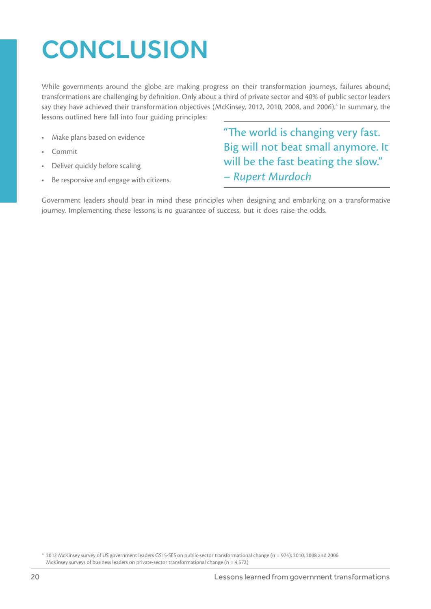## **CONCLUSION**

While governments around the globe are making progress on their transformation journeys, failures abound; transformations are challenging by definition. Only about a third of private sector and 40% of public sector leaders say they have achieved their transformation objectives (McKinsey, 2012, 2010, 2008, and 2006).<sup>4</sup> In summary, the lessons outlined here fall into four guiding principles:

- Make plans based on evidence
- Commit
- Deliver quickly before scaling
- Be responsive and engage with citizens.

"The world is changing very fast. Big will not beat small anymore. It will be the fast beating the slow." – *Rupert Murdoch*

Government leaders should bear in mind these principles when designing and embarking on a transformative journey. Implementing these lessons is no guarantee of success, but it does raise the odds.

<sup>4</sup> 2012 McKinsey survey of US government leaders GS15-SES on public-sector transformational change (n = 974); 2010, 2008 and 2006 McKinsey surveys of business leaders on private-sector transformational change (n = 4,572)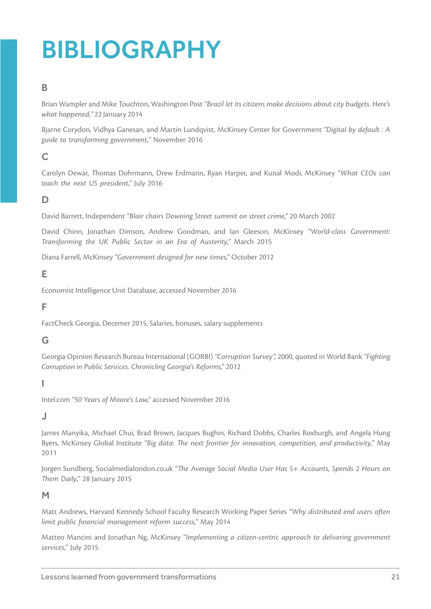## BIBLIOGRAPHY

### B

Brian Wampler and Mike Touchton, Washington Post *"Brazil let its citizens make decisions about city budgets. Here's what happened,"* 22 January 2014

Bjarne Corydon, Vidhya Ganesan, and Martin Lundqvist, McKinsey Center for Government *"Digital by default : A guide to transforming government,"* November 2016

### $\mathsf{C}$

Carolyn Dewar, Thomas Dohrmann, Drew Erdmann, Ryan Harper, and Kunal Modi, McKinsey *"What CEOs can teach the next US president,"* July 2016

### D

David Barrett, Independent *"Blair chairs Downing Street summit on street crime,"* 20 March 2002

David Chinn, Jonathan Dimson, Andrew Goodman, and Ian Gleeson, McKinsey *"World-class Government: Transforming the UK Public Sector in an Era of Austerity,"* March 2015

Diana Farrell, McKinsey *"Government designed for new times,"* October 2012

### E

Economist Intelligence Unit Database, accessed November 2016

### F

FactCheck Georgia, Decemer 2015, Salaries, bonuses, salary supplements

### G

Georgia Opinion Research Bureau International (GORBI) *"Corruption Survey",* 2000, quoted in World Bank *"Fighting Corruption in Public Services. Chronicling Georgia's Reforms,"* 2012

#### I

Intel.com *"50 Years of Moore's Law,"* accessed November 2016

### J

James Manyika, Michael Chui, Brad Brown, Jacques Bughin, Richard Dobbs, Charles Roxburgh, and Angela Hung Byers, McKinsey Global Institute *"Big data: The next frontier for innovation, competition, and productivity,"* May 2011

Jorgen Sundberg, Socialmedialondon.co.uk *"The Average Social Media User Has 5+ Accounts, Spends 2 Hours on Them Daily,"* 28 January 2015

### M

Matt Andrews, Harvard Kennedy School Faculty Research Working Paper Series *"Why distributed end users often limit public financial management reform success,"* May 2014

Matteo Mancini and Jonathan Ng, McKinsey *"Implementing a citizen-centric approach to delivering government services,"* July 2015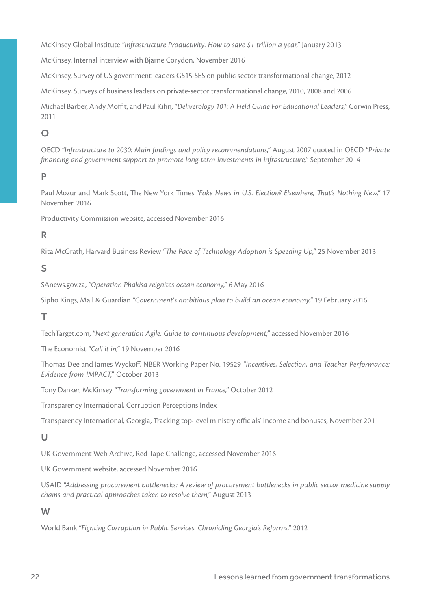McKinsey Global Institute *"Infrastructure Productivity. How to save \$1 trillion a year,"* January 2013

McKinsey, Internal interview with Bjarne Corydon, November 2016

McKinsey, Survey of US government leaders GS15-SES on public-sector transformational change, 2012

McKinsey, Surveys of business leaders on private-sector transformational change, 2010, 2008 and 2006

Michael Barber, Andy Moffit, and Paul Kihn, *"Deliverology 101: A Field Guide For Educational Leaders,"* Corwin Press, 2011

### $\Omega$

OECD *"Infrastructure to 2030: Main findings and policy recommendations,"* August 2007 quoted in OECD *"Private financing and government support to promote long-term investments in infrastructure,"* September 2014

### P

Paul Mozur and Mark Scott, The New York Times *"Fake News in U.S. Election? Elsewhere, That's Nothing New,"* 17 November 2016

Productivity Commission website, accessed November 2016

### R

Rita McGrath, Harvard Business Review *"The Pace of Technology Adoption is Speeding Up,"* 25 November 2013

### S

SAnews.gov.za, *"Operation Phakisa reignites ocean economy,"* 6 May 2016

Sipho Kings, Mail & Guardian *"Government's ambitious plan to build an ocean economy,"* 19 February 2016

### T

TechTarget.com, *"Next generation Agile: Guide to continuous development,"* accessed November 2016

The Economist *"Call it in,"* 19 November 2016

Thomas Dee and James Wyckoff, NBER Working Paper No. 19529 *"Incentives, Selection, and Teacher Performance: Evidence from IMPACT,"* October 2013

Tony Danker, McKinsey *"Transforming government in France,"* October 2012

Transparency International, Corruption Perceptions Index

Transparency International, Georgia, Tracking top-level ministry officials' income and bonuses, November 2011

### $\cup$

UK Government Web Archive, Red Tape Challenge, accessed November 2016

UK Government website, accessed November 2016

USAID *"Addressing procurement bottlenecks: A review of procurement bottlenecks in public sector medicine supply chains and practical approaches taken to resolve them,"* August 2013

#### W

World Bank *"Fighting Corruption in Public Services. Chronicling Georgia's Reforms,"* 2012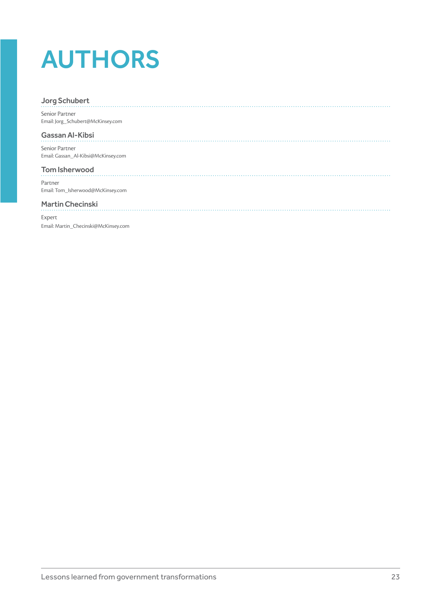## AUTHORS

#### Jorg Schubert

Senior Partner Email: Jorg\_Schubert@McKinsey.com

#### Gassan Al-Kibsi

Senior Partner Email: Gassan\_Al-Kibsi@McKinsey.com

#### Tom Isherwood

Partner Email: Tom\_Isherwood@McKinsey.com

#### Martin Checinski

Expert Email: Martin\_Checinski@McKinsey.com